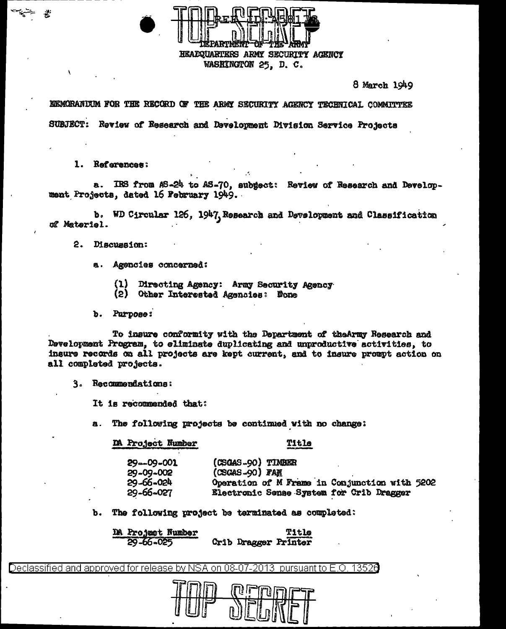HEADQUARTERS ARMY SECURITY ACENCY WASHINGTON 25, D. C.

8 March 1949

KEMORANDUM FOR THE RECORD OF THE ARMY SECURITY AGENCY TECHNICAL COMMUTTEE SUBJECT: Review of Research and Development Division Service Projects

1. References:

a. IRS from AS-24 to AS-70, subgect: Review of Research and Development Projects, dated 16 February 1949.

b. WD Circular 126, 1947, Research and Development and Classification of Materiel.

2. Discussion:

- a. Agencies concerned:
	- $(1)$ Directing Agency: Army Security Agency
	- (2) Other Interested Agencies: None
- b. Purpose:

To insure conformity with the Department of the Army Research and Development Program, to eliminate duplicating and unproductive activities, to insure records on all projects are kept current, and to insure prompt action on all completed projects.

3. Recommendations:

It is recommended that:

The following projects be continued with no change: **a.** 

DA Project Number

Title

| $29 - 09 - 001$ | (CSGAS-90) TIMBER                             |
|-----------------|-----------------------------------------------|
| 29-09-002       | (CSCAS-90) FAR                                |
| 29-66-024       | Operation of M Frame in Conjunction with 5202 |
| 29-66-027       | Electronic Sense System for Crib Dragger      |

 $\mathbf{b}$ . The following project be terminated as completed:

DA Project Number **Title** 29-66-025 Crib Dragger Printer

Declassified and approved for release by NSA on 08-07-2013 pursuant to E.O. 13520